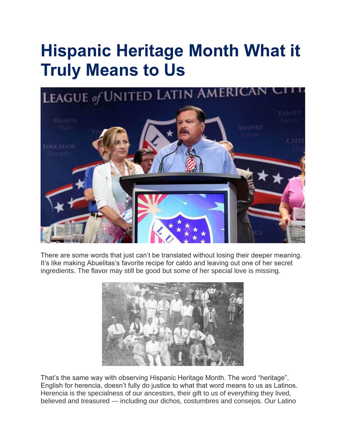## **Hispanic Heritage Month What it Truly Means to Us**



There are some words that just can't be translated without losing their deeper meaning. It's like making Abuelitas's favorite recipe for caldo and leaving out one of her secret ingredients. The flavor may still be good but some of her special love is missing.



That's the same way with observing Hispanic Heritage Month. The word "heritage", English for herencia, doesn't fully do justice to what that word means to us as Latinos. Herencia is the specialness of our ancestors, their gift to us of everything they lived, believed and treasured --- including our dichos, costumbres and consejos. Our Latino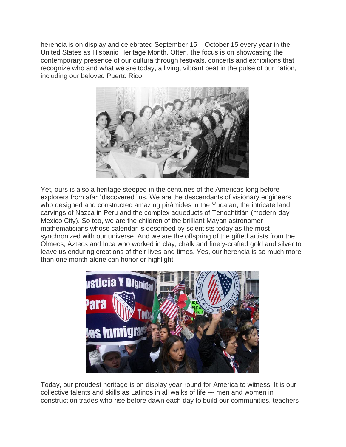herencia is on display and celebrated September 15 – October 15 every year in the United States as Hispanic Heritage Month. Often, the focus is on showcasing the contemporary presence of our cultura through festivals, concerts and exhibitions that recognize who and what we are today, a living, vibrant beat in the pulse of our nation, including our beloved Puerto Rico.



Yet, ours is also a heritage steeped in the centuries of the Americas long before explorers from afar "discovered" us. We are the descendants of visionary engineers who designed and constructed amazing pirámides in the Yucatan, the intricate land carvings of Nazca in Peru and the complex aqueducts of Tenochtitlán (modern-day Mexico City). So too, we are the children of the brilliant Mayan astronomer mathematicians whose calendar is described by scientists today as the most synchronized with our universe. And we are the offspring of the gifted artists from the Olmecs, Aztecs and Inca who worked in clay, chalk and finely-crafted gold and silver to leave us enduring creations of their lives and times. Yes, our herencia is so much more than one month alone can honor or highlight.



Today, our proudest heritage is on display year-round for America to witness. It is our collective talents and skills as Latinos in all walks of life --- men and women in construction trades who rise before dawn each day to build our communities, teachers